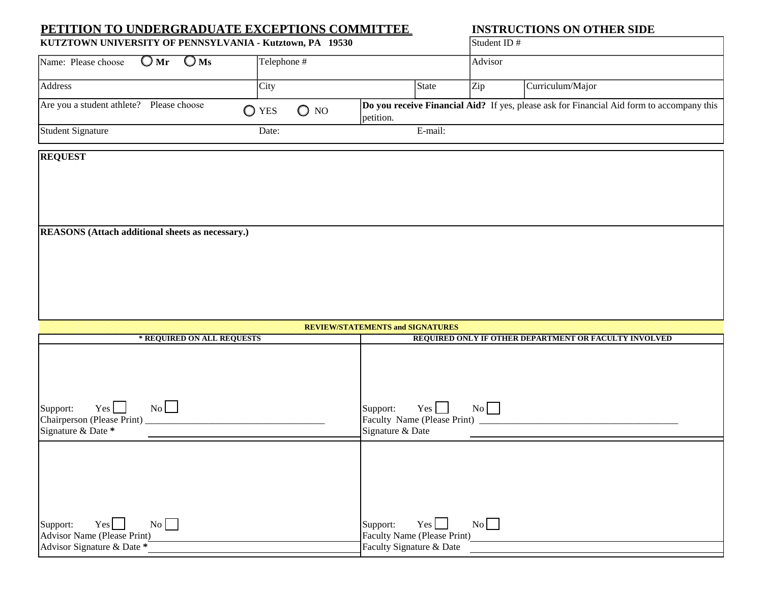## **PETITION TO UNDERGRADUATE EXCEPTIONS COMMITTEE INSTRUCTIONS ON OTHER SIDE**

| KUTZTOWN UNIVERSITY OF PENNSYLVANIA - Kutztown, PA 19530 |                                 |            | <b>Student ID#</b> |                                                                                                  |
|----------------------------------------------------------|---------------------------------|------------|--------------------|--------------------------------------------------------------------------------------------------|
| $OMr$ $OMs$<br>Name: Please choose                       | Telephone #                     |            | Advisor            |                                                                                                  |
| <b>Address</b>                                           | City                            | State      | Zip                | Curriculum/Major                                                                                 |
| Are you a student athlete? Please choose                 | $\bigcirc$ NO<br>$\bigcirc$ YES | lpetition. |                    | <b>Do you receive Financial Aid?</b> If yes, please ask for Financial Aid form to accompany this |
| <b>Student Signature</b>                                 | Date:                           | E-mail:    |                    |                                                                                                  |

## **REQUEST**

**REASONS (Attach additional sheets as necessary.)**

| <b>REVIEW/STATEMENTS and SIGNATURES</b>       |                                                                                                            |  |  |  |
|-----------------------------------------------|------------------------------------------------------------------------------------------------------------|--|--|--|
| * REQUIRED ON ALL REQUESTS                    | REQUIRED ONLY IF OTHER DEPARTMENT OR FACULTY INVOLVED                                                      |  |  |  |
| No<br>Yes l                                   |                                                                                                            |  |  |  |
| Support:<br>Chairperson (Please Print) ______ | $\begin{array}{c c} \n\hline\n\end{array}$<br>$Yes$ $\Box$<br>Support:<br>Faculty Name (Please Print) ____ |  |  |  |
| Signature & Date *                            | Signature & Date                                                                                           |  |  |  |
|                                               |                                                                                                            |  |  |  |
| No<br>$Yes$  <br>Support:                     | Yes  <br>Support:                                                                                          |  |  |  |
| Advisor Name (Please Print)                   | Faculty Name (Please Print)                                                                                |  |  |  |
| Advisor Signature & Date *                    | Faculty Signature & Date                                                                                   |  |  |  |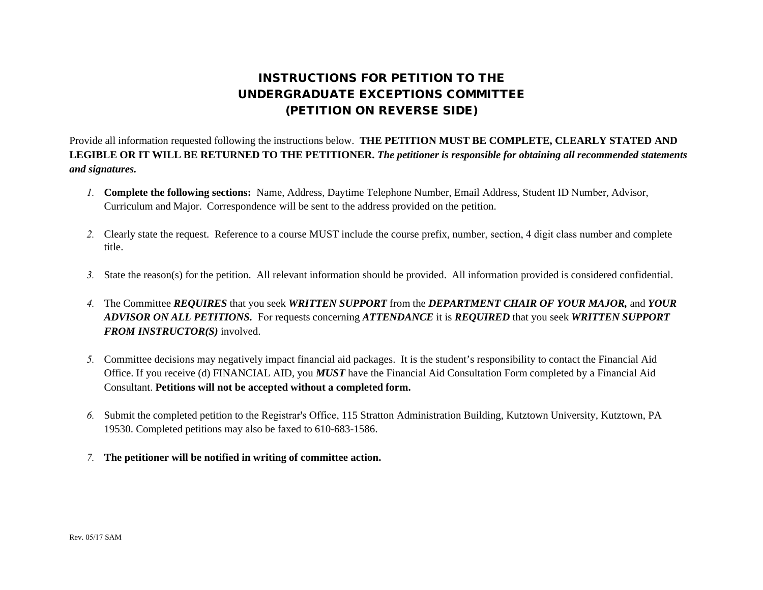# INSTRUCTIONS FOR PETITION TO THE UNDERGRADUATE EXCEPTIONS COMMITTEE (PETITION ON REVERSE SIDE)

Provide all information requested following the instructions below. **THE PETITION MUST BE COMPLETE, CLEARLY STATED AND LEGIBLE OR IT WILL BE RETURNED TO THE PETITIONER.** *The petitioner is responsible for obtaining all recommended statements and signatures.* 

- *1.* **Complete the following sections:** Name, Address, Daytime Telephone Number, Email Address, Student ID Number, Advisor, Curriculum and Major. Correspondence will be sent to the address provided on the petition.
- *2.* Clearly state the request. Reference to a course MUST include the course prefix, number, section, 4 digit class number and complete title.
- *3.* State the reason(s) for the petition. All relevant information should be provided. All information provided is considered confidential.
- *4.* The Committee *REQUIRES* that you seek *WRITTEN SUPPORT* from the *DEPARTMENT CHAIR OF YOUR MAJOR,* and *YOUR ADVISOR ON ALL PETITIONS.* For requests concerning *ATTENDANCE* it is *REQUIRED* that you seek *WRITTEN SUPPORT FROM INSTRUCTOR(S)* involved.
- *5.* Committee decisions may negatively impact financial aid packages. It is the student's responsibility to contact the Financial Aid Office. If you receive (d) FINANCIAL AID, you *MUST* have the Financial Aid Consultation Form completed by a Financial Aid Consultant. **Petitions will not be accepted without a completed form.**
- *6.* Submit the completed petition to the Registrar's Office, 115 Stratton Administration Building, Kutztown University, Kutztown, PA 19530. Completed petitions may also be faxed to 610-683-1586.
- *7.* **The petitioner will be notified in writing of committee action.**